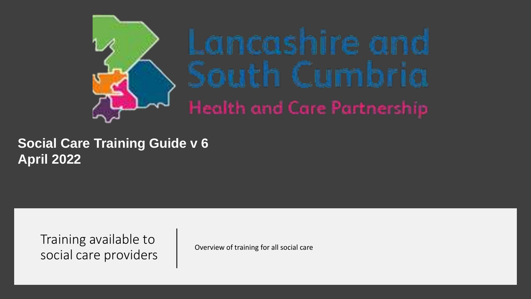

#### **Social Care Training Guide v 6 April 2022**

Training available to social care providers and overview of training for all social care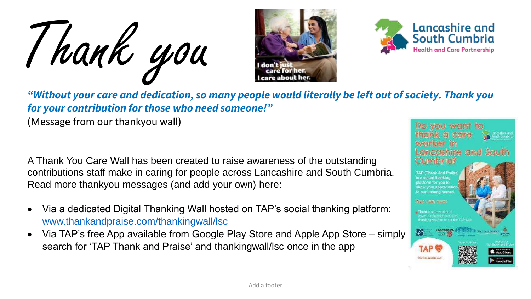Thank you





*"Without your care and dedication, so many people would literally be left out of society. Thank you for your contribution for those who need someone!"*

(Message from our thankyou wall)

A Thank You Care Wall has been created to raise awareness of the outstanding contributions staff make in caring for people across Lancashire and South Cumbria. Read more thankyou messages (and add your own) here:

- Via a dedicated Digital Thanking Wall hosted on TAP's social thanking platform: [www.thankandpraise.com/thankingwall/lsc](http://www.thankandpraise.com/thankingwall/lsc)
- Via TAP's free App available from Google Play Store and Apple App Store simply search for 'TAP Thank and Praise' and thankingwall/lsc once in the app

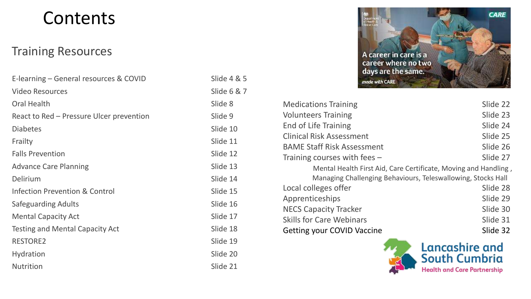#### Contents

#### Training Resources

| E-learning – General resources & COVID    | Slide $4 & 5$ |
|-------------------------------------------|---------------|
| <b>Video Resources</b>                    | Slide 6 & 7   |
| <b>Oral Health</b>                        | Slide 8       |
| React to Red – Pressure Ulcer prevention  | Slide 9       |
| <b>Diabetes</b>                           | Slide 10      |
| Frailty                                   | Slide 11      |
| <b>Falls Prevention</b>                   | Slide 12      |
| <b>Advance Care Planning</b>              | Slide 13      |
| Delirium                                  | Slide 14      |
| <b>Infection Prevention &amp; Control</b> | Slide 15      |
| Safeguarding Adults                       | Slide 16      |
| <b>Mental Capacity Act</b>                | Slide 17      |
| <b>Testing and Mental Capacity Act</b>    | Slide 18      |
| <b>RESTORE2</b>                           | Slide 19      |
| <b>Hydration</b>                          | Slide 20      |
| <b>Nutrition</b>                          | Slide 21      |

| Slide 4 & 5             |
|-------------------------|
| Slide 6 & 7             |
| Slide 8                 |
| Slide 9                 |
| Slide 10                |
| Slide 11                |
| Slide 12                |
| Slide 13                |
| Slide 14                |
| Slide 15                |
| Slide 16                |
| Slide 17                |
| Slide 18                |
| Slide 19                |
| Slide 20                |
| $\bigcap$ 1<br>$C$ iala |



| <b>Medications Training</b>                                     | Slide 22 |  |
|-----------------------------------------------------------------|----------|--|
| <b>Volunteers Training</b>                                      | Slide 23 |  |
| <b>End of Life Training</b>                                     | Slide 24 |  |
| <b>Clinical Risk Assessment</b>                                 | Slide 25 |  |
| <b>BAME Staff Risk Assessment</b>                               | Slide 26 |  |
| Training courses with fees $-$                                  | Slide 27 |  |
| Mental Health First Aid, Care Certificate, Moving and Handling, |          |  |
| Managing Challenging Behaviours, Teleswallowing, Stocks Hall    |          |  |
| Local colleges offer                                            | Slide 28 |  |
| Apprenticeships                                                 | Slide 29 |  |
| <b>NECS Capacity Tracker</b>                                    | Slide 30 |  |
| <b>Skills for Care Webinars</b>                                 | Slide 31 |  |
| <b>Getting your COVID Vaccine</b>                               | Slide 32 |  |

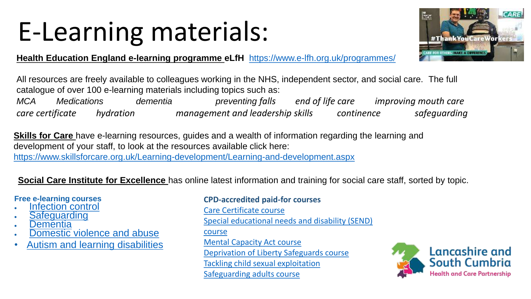## E-Learning materials:



**Health Education England e-learning programme eLfH** <https://www.e-lfh.org.uk/programmes/>

All resources are freely available to colleagues working in the NHS, independent sector, and social care. The full catalogue of over 100 e-learning materials including topics such as:

*MCA Medications dementia preventing falls end of life care improving mouth care care certificate hydration management and leadership skills continence safeguarding*

**Skills for Care** have e-learning resources, guides and a wealth of information regarding the learning and development of your staff, to look at the resources available click here: <https://www.skillsforcare.org.uk/Learning-development/Learning-and-development.aspx>

**Social Care Institute for Excellence** has online latest information and training for social care staff, sorted by topic.

#### **Free e-learning courses**

- [Infection control](https://mailing.scie.org.uk/4O5-7J0IF-27YHIO-4K1K5X-1/c.aspx)
- **[Safeguarding](https://mailing.scie.org.uk/4O5-7J0IF-27YHIO-4K1K5Y-1/c.aspx)**
- [Dementia](https://mailing.scie.org.uk/4O5-7J0IF-27YHIO-4K1K5Z-1/c.aspx)
- **[Domestic violence and abuse](https://mailing.scie.org.uk/4O5-7J0IF-27YHIO-4K1K61-1/c.aspx)**
- [Autism and learning disabilities](https://mailing.scie.org.uk/4O5-7J0IF-27YHIO-4K1K5U-1/c.aspx)

#### **CPD-accredited paid-for courses**

[Care Certificate course](https://mailing.scie.org.uk/4O5-7AJ59-27YHIO-4DTW5L-1/c.aspx) [Special educational needs and disability \(SEND\)](https://mailing.scie.org.uk/4O5-7AJ59-27YHIO-4DTW5W-1/c.aspx)  course [Mental Capacity Act course](https://mailing.scie.org.uk/4O5-7AJ59-27YHIO-4DTW5X-1/c.aspx) [Deprivation of Liberty Safeguards course](https://mailing.scie.org.uk/4O5-7AJ59-27YHIO-4DTW5Y-1/c.aspx) [Tackling child sexual exploitation](https://mailing.scie.org.uk/4O5-7AJ59-27YHIO-4DTW5Z-1/c.aspx) [Safeguarding adults course](https://mailing.scie.org.uk/4O5-7AJ59-27YHIO-4DTW60-1/c.aspx)

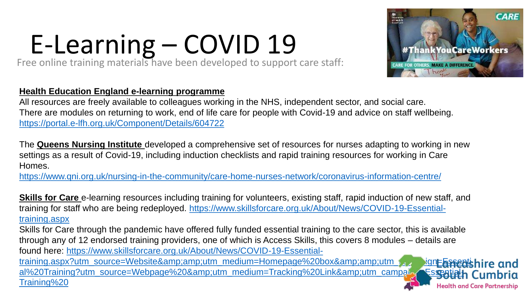# E-Learning – COVID 19

Free online training materials have been developed to support care staff:

#### **Health Education England e-learning programme**

All resources are freely available to colleagues working in the NHS, independent sector, and social care. There are modules on returning to work, end of life care for people with Covid-19 and advice on staff wellbeing. <https://portal.e-lfh.org.uk/Component/Details/604722>

The **Queens Nursing Institute** developed a comprehensive set of resources for nurses adapting to working in new settings as a result of Covid-19, including induction checklists and rapid training resources for working in Care Homes.

<https://www.qni.org.uk/nursing-in-the-community/care-home-nurses-network/coronavirus-information-centre/>

**Skills for Care** e-learning resources including training for volunteers, existing staff, rapid induction of new staff, and training for staff who are being redeployed. [https://www.skillsforcare.org.uk/About/News/COVID-19-Essential](https://www.skillsforcare.org.uk/About/News/COVID-19-Essential-training.aspx)training.aspx

Skills for Care through the pandemic have offered fully funded essential training to the care sector, this is available through any of 12 endorsed training providers, one of which is Access Skills, this covers 8 modules – details are found here: https://www.skillsforcare.org.uk/About/News/COVID-19-Essential-

training.aspx?utm\_source=Website&utm\_medium=Homepage%20box&utm\_samping=Essentishire and al%20Training?utm\_source=Webpage%20&utm\_medium=Tracking%20Link&utm\_campaign=Essentiath Cumbria Training%20



#ThankYouCareWorkers

**ARE FOR OTHERS. MAKE A DIFFERENCE** hank

**CARE**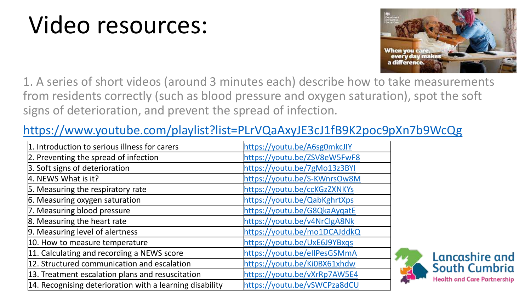### Video resources:



1. A series of short videos (around 3 minutes each) describe how to take measurements from residents correctly (such as blood pressure and oxygen saturation), spot the soft signs of deterioration, and prevent the spread of infection.

#### <https://www.youtube.com/playlist?list=PLrVQaAxyJE3cJ1fB9K2poc9pXn7b9WcQg>

| 1. Introduction to serious illness for carers            | https://youtu.be/A6sg0mkcJIY |
|----------------------------------------------------------|------------------------------|
| 2. Preventing the spread of infection                    | https://youtu.be/ZSV8eW5FwF8 |
| 3. Soft signs of deterioration                           | https://youtu.be/7gMo13z3BYI |
| 4. NEWS What is it?                                      | https://youtu.be/S-KWnrsOw8M |
| 5. Measuring the respiratory rate                        | https://youtu.be/ccKGzZXNKYs |
| 6. Measuring oxygen saturation                           | https://youtu.be/QabKghrtXps |
| 7. Measuring blood pressure                              | https://youtu.be/G8QkaAyqatE |
| 8. Measuring the heart rate                              | https://youtu.be/v4NrClgA8Nk |
| 9. Measuring level of alertness                          | https://youtu.be/mo1DCAJddkQ |
| 10. How to measure temperature                           | https://youtu.be/UxE6J9YBxqs |
| 11. Calculating and recording a NEWS score               | https://youtu.be/ellPesGSMmA |
| 12. Structured communication and escalation              | https://youtu.be/Ki0BX61xhdw |
| 13. Treatment escalation plans and resuscitation         | https://youtu.be/vXrRp7AW5E4 |
| 14. Recognising deterioration with a learning disability | https://youtu.be/vSWCPza8dCU |

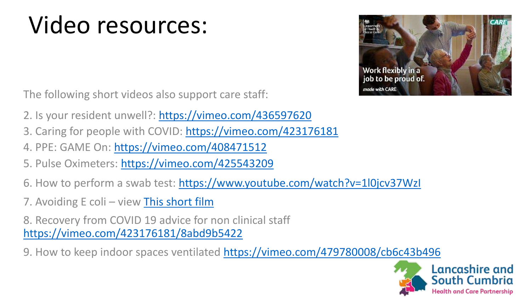### Video resources:



The following short videos also support care staff:

- 2. Is your resident unwell?: <https://vimeo.com/436597620>
- 3. Caring for people with COVID:<https://vimeo.com/423176181>
- 4. PPE: GAME On:<https://vimeo.com/408471512>
- 5. Pulse Oximeters: <https://vimeo.com/425543209>
- 6. How to perform a swab test: <https://www.youtube.com/watch?v=1l0jcv37WzI>
- 7. Avoiding E coli view [This short film](https://nhs.us12.list-manage.com/track/click?u=4b362f64a3513dfb21bad5872&id=bfec89b7cd&e=40dd04e762)

8. Recovery from COVID 19 advice for non clinical staff <https://vimeo.com/423176181/8abd9b5422>

9. How to keep indoor spaces ventilated <https://vimeo.com/479780008/cb6c43b496>

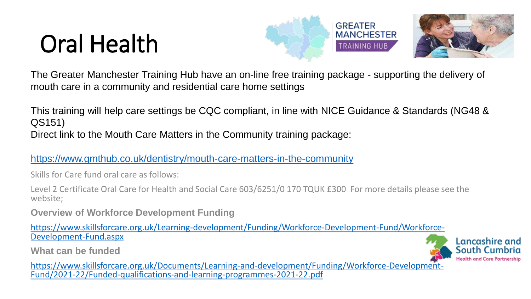### Oral Health





The Greater Manchester Training Hub have an on-line free training package - supporting the delivery of mouth care in a community and residential care home settings

This training will help care settings be CQC compliant, in line with NICE Guidance & Standards (NG48 & QS151) Direct link to the Mouth Care Matters in the Community training package:

<https://www.gmthub.co.uk/dentistry/mouth-care-matters-in-the-community>

Skills for Care fund oral care as follows:

Level 2 Certificate Oral Care for Health and Social Care 603/6251/0 170 TQUK £300 For more details please see the website;

**Overview of Workforce Development Funding**

[https://www.skillsforcare.org.uk/Learning-development/Funding/Workforce-Development-Fund/Workforce-](https://www.skillsforcare.org.uk/Learning-development/Funding/Workforce-Development-Fund/Workforce-Development-Fund.aspx)Development-Fund.aspx

**What can be funded**



[https://www.skillsforcare.org.uk/Documents/Learning-and-development/Funding/Workforce-Development-](https://www.skillsforcare.org.uk/Documents/Learning-and-development/Funding/Workforce-Development-Fund/2021-22/Funded-qualifications-and-learning-programmes-2021-22.pdf)Fund/2021-22/Funded-qualifications-and-learning-programmes-2021-22.pdf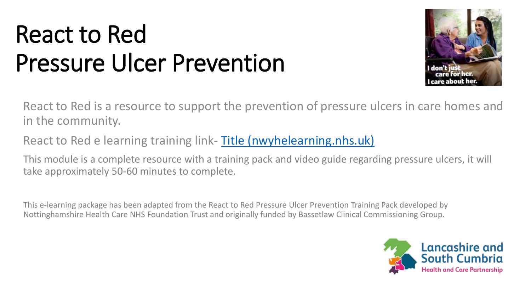### React to Red Pressure Ulcer Prevention



React to Red is a resource to support the prevention of pressure ulcers in care homes and in the community.

React to Red e learning training link- [Title \(nwyhelearning.nhs.uk\)](https://www.nwyhelearning.nhs.uk/elearning/yorksandhumber/shared/React2Red/RTR_HTML/index.html)

This module is a complete resource with a training pack and video guide regarding pressure ulcers, it will take approximately 50-60 minutes to complete.

This e-learning package has been adapted from the React to Red Pressure Ulcer Prevention Training Pack developed by Nottinghamshire Health Care NHS Foundation Trust and originally funded by Bassetlaw Clinical Commissioning Group.

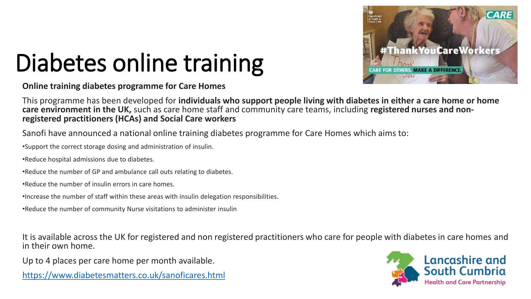

# Diabetes online training

**Online training diabetes programme for Care Homes**

This programme has been developed for **individuals who support people living with diabetes in either a care home or home care environment in the UK,** such as care home staff and community care teams, including **registered nurses and nonregistered practitioners (HCAs) and Social Care workers**

Sanofi have announced a national online training diabetes programme for Care Homes which aims to:

•Support the correct storage dosing and administration of insulin.

•Reduce hospital admissions due to diabetes.

•Reduce the number of GP and ambulance call outs relating to diabetes.

•Reduce the number of insulin errors in care homes.

•Increase the number of staff within these areas with insulin delegation responsibilities.

•Reduce the number of community Nurse visitations to administer insulin

It is available across the UK for registered and non registered practitioners who care for people with diabetes in care homes and in their own home.

Up to 4 places per care home per month available.

<https://www.diabetesmatters.co.uk/sanoficares.html>

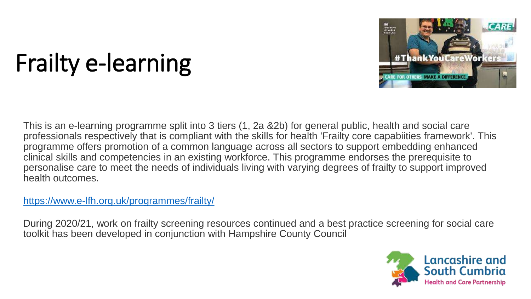

# Frailty e-learning

This is an e-learning programme split into 3 tiers (1, 2a &2b) for general public, health and social care professionals respectively that is compliant with the skills for health 'Frailty core capabiities framework'. This programme offers promotion of a common language across all sectors to support embedding enhanced clinical skills and competencies in an existing workforce. This programme endorses the prerequisite to personalise care to meet the needs of individuals living with varying degrees of frailty to support improved health outcomes.

<https://www.e-lfh.org.uk/programmes/frailty/>

During 2020/21, work on frailty screening resources continued and a best practice screening for social care toolkit has been developed in conjunction with Hampshire County Council

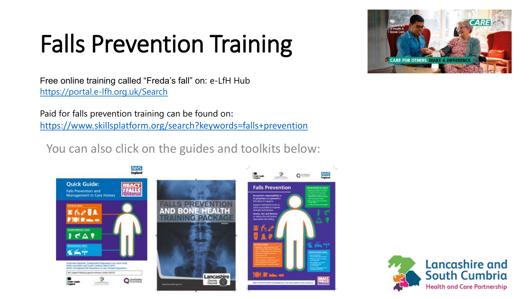# Falls Prevention Training



Free online training called "Freda's fall" on: e-LfH Hub <https://portal.e-lfh.org.uk/Search>

Paid for falls prevention training can be found on: <https://www.skillsplatform.org/search?keywords=falls+prevention>

You can also click on the guides and toolkits below:



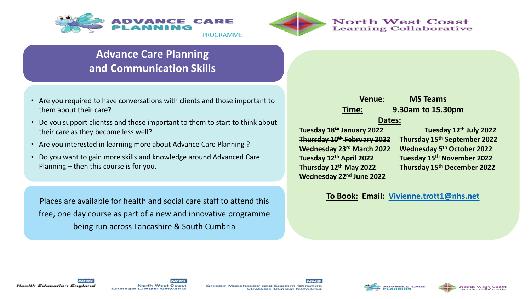



#### **Advance Care Planning and Communication Skills**

- Are you required to have conversations with clients and those important to them about their care?
- Do you support clientss and those important to them to start to think about their care as they become less well?
- Are you interested in learning more about Advance Care Planning ?
- Do you want to gain more skills and knowledge around Advanced Care Planning – then this course is for you.

Places are available for health and social care staff to attend this free, one day course as part of a new and innovative programme being run across Lancashire & South Cumbria

**Wednesday 22nd June 2022**

#### **Venue**: **MS Teams Time: 9.30am to 15.30pm Dates:**

**Tuesday 18th January 2022 Tuesday 12th July 2022 Thursday 10th February 2022 Thursday 15th September 2022 Wednesday 23rd March 2022 Wednesday 5th October 2022 Tuesday 12th April 2022 Tuesday 15th November 2022 Thursday 12th May 2022 Thursday 15th December 2022**

#### **To Book: Email: [Vivienne.trott1@nhs.net](mailto:Vivienne.trott1@nhs.net)**







Greater Manchester and Eastern Cheshire **Strategic Clinical Networks**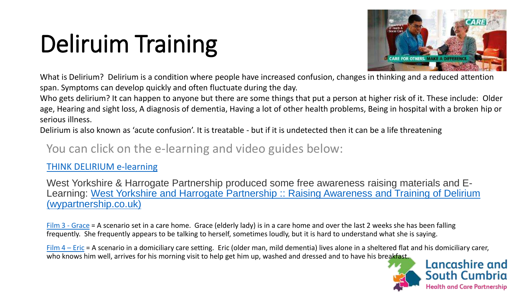# Deliruim Training



What is Delirium? Delirium is a condition where people have increased confusion, changes in thinking and a reduced attention span. Symptoms can develop quickly and often fluctuate during the day.

Who gets delirium? It can happen to anyone but there are some things that put a person at higher risk of it. These include: Older age, Hearing and sight loss, A diagnosis of dementia, Having a lot of other health problems, Being in hospital with a broken hip or serious illness.

Delirium is also known as 'acute confusion'. It is treatable - but if it is undetected then it can be a life threatening

#### You can click on the e-learning and video guides below:

#### [THINK DELIRIUM e-learning](https://portal.e-lfh.org.uk/LearningContent/Launch/664995)

West Yorkshire & Harrogate Partnership produced some free awareness raising materials and E-[Learning: West Yorkshire and Harrogate Partnership :: Raising Awareness and Training of Delirium](https://www.wypartnership.co.uk/our-priorities/mental-health/mental-health/dementia/raising-awareness-and-training-delirium)  (wypartnership.co.uk)

[Film 3 -](https://drive.google.com/file/d/1CBsMfy5l_NnToQqFZOKYVWEsOuRn_-Y4/view?usp=sharing) Grace = A scenario set in a care home. Grace (elderly lady) is in a care home and over the last 2 weeks she has been falling frequently. She frequently appears to be talking to herself, sometimes loudly, but it is hard to understand what she is saying.

[Film 4](https://drive.google.com/file/d/1jqJjYyiGWSqQGkvdkW4qagg_I66yFkEH/view?usp=sharing) – Eric = A scenario in a domiciliary care setting. Eric (older man, mild dementia) lives alone in a sheltered flat and his domiciliary carer, who knows him well, arrives for his morning visit to help get him up, washed and dressed and to have his breakfast.

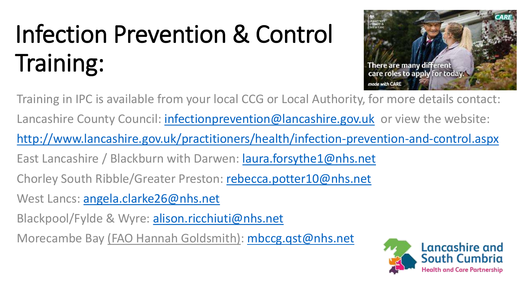# Infection Prevention & Control Training:



Training in IPC is available from your local CCG or Local Authority, for more details contact: Lancashire County Council: *infectionprevention@lancashire.gov.uk* or view the website: <http://www.lancashire.gov.uk/practitioners/health/infection-prevention-and-control.aspx> East Lancashire / Blackburn with Darwen: [laura.forsythe1@nhs.net](mailto:laura.forsythe1@nhs.net) Chorley South Ribble/Greater Preston: [rebecca.potter10@nhs.net](mailto:rebecca.potter10@nhs.net) West Lancs: [angela.clarke26@nhs.net](mailto:angela.clarke26@nhs.net) Blackpool/Fylde & Wyre: [alison.ricchiuti@nhs.net](mailto:alison.ricchiuti@nhs.net) Morecambe Bay (FAO Hannah Goldsmith): [mbccg.qst@nhs.net](mailto:mbccg.qst@nhs.net)

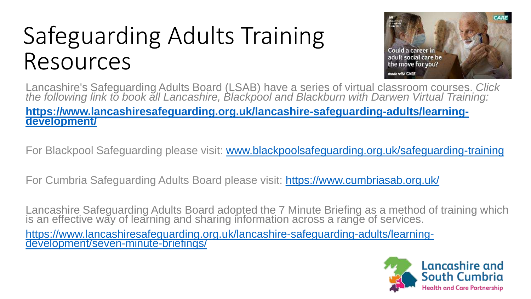### Safeguarding Adults Training Resources



Lancashire's Safeguarding Adults Board (LSAB) have a series of virtual classroom courses. *Click the following link to book all Lancashire, Blackpool and Blackburn with Darwen Virtual Training:* 

#### **[https://www.lancashiresafeguarding.org.uk/lancashire-safeguarding-adults/learning](https://www.lancashiresafeguarding.org.uk/lancashire-safeguarding-adults/learning-development/)development/**

For Blackpool Safeguarding please visit: [www.blackpoolsafeguarding.org.uk/safeguarding-training](http://www.blackpoolsafeguarding.org.uk/safeguarding-training)

For Cumbria Safeguarding Adults Board please visit:<https://www.cumbriasab.org.uk/>

Lancashire Safeguarding Adults Board adopted the 7 Minute Briefing as a method of training which is an effective way of learning and sharing information across a range of services.

[https://www.lancashiresafeguarding.org.uk/lancashire-safeguarding-adults/learning](https://www.lancashiresafeguarding.org.uk/lancashire-safeguarding-adults/learning-development/seven-minute-briefings/)development/seven-minute-briefings/

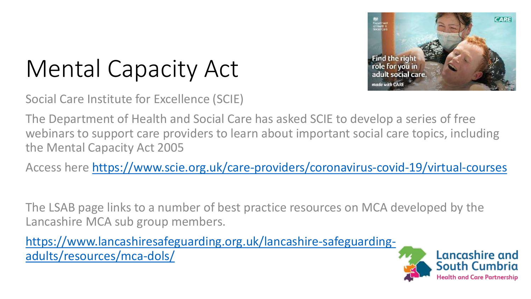

## Mental Capacity Act

Social Care Institute for Excellence (SCIE)

The Department of Health and Social Care has asked SCIE to develop a series of free webinars to support care providers to learn about important social care topics, including the Mental Capacity Act 2005

Access here <https://www.scie.org.uk/care-providers/coronavirus-covid-19/virtual-courses>

The LSAB page links to a number of best practice resources on MCA developed by the Lancashire MCA sub group members.

[https://www.lancashiresafeguarding.org.uk/lancashire-safeguarding](https://www.lancashiresafeguarding.org.uk/lancashire-safeguarding-adults/resources/mca-dols/)adults/resources/mca-dols/



**Health and Care Partnership**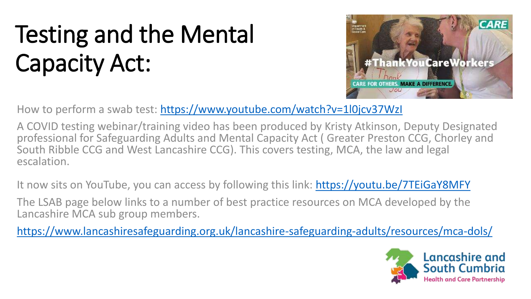## Testing and the Mental Capacity Act:



How to perform a swab test: <https://www.youtube.com/watch?v=1l0jcv37WzI>

A COVID testing webinar/training video has been produced by Kristy Atkinson, Deputy Designated professional for Safeguarding Adults and Mental Capacity Act ( Greater Preston CCG, Chorley and South Ribble CCG and West Lancashire CCG). This covers testing, MCA, the law and legal escalation.

It now sits on YouTube, you can access by following this link: [https://youtu.be/7TEiGaY8MFY](https://nhs.us12.list-manage.com/track/click?u=4b362f64a3513dfb21bad5872&id=74badae68c&e=40dd04e762)

The LSAB page below links to a number of best practice resources on MCA developed by the Lancashire MCA sub group members.

<https://www.lancashiresafeguarding.org.uk/lancashire-safeguarding-adults/resources/mca-dols/>

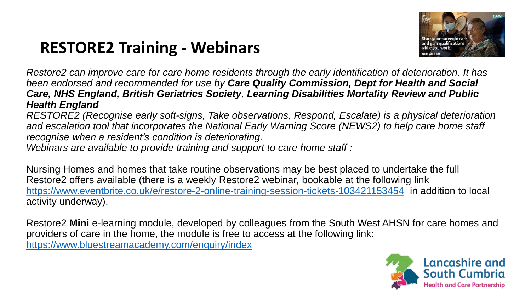#### **RESTORE2 Training - Webinars**



*Restore2 can improve care for care home residents through the early identification of deterioration. It has been endorsed and recommended for use by Care Quality Commission, Dept for Health and Social Care, NHS England, British Geriatrics Society, Learning Disabilities Mortality Review and Public Health England*

*RESTORE2 (Recognise early soft-signs, Take observations, Respond, Escalate) is a physical deterioration and escalation tool that incorporates the National Early Warning Score (NEWS2) to help care home staff recognise when a resident's condition is deteriorating.* 

*Webinars are available to provide training and support to care home staff :*

Nursing Homes and homes that take routine observations may be best placed to undertake the full Restore2 offers available (there is a weekly Restore2 webinar, bookable at the following link <https://www.eventbrite.co.uk/e/restore-2-online-training-session-tickets-103421153454> in addition to local activity underway).

Restore2 **Mini** e-learning module, developed by colleagues from the South West AHSN for care homes and providers of care in the home, the module is free to access at the following link: [https://www.bluestreamacademy.com/enquiry/index](https://eu-west-1.protection.sophos.com/?d=bluestreamacademy.com&u=aHR0cHM6Ly93d3cuYmx1ZXN0cmVhbWFjYWRlbXkuY29tL2VucXVpcnkvaW5kZXg=&i=NjA0Nzc4NjMzMmI5MDAwZTg3MGJiMmMw&t=NjZYR2JLRkZYSGVtME8zN2cva0dGUmNENVA3ZHAyais1S2tnUGJIR09yZz0=&h=1051e22dab8e446dbc2572a4c189d859)

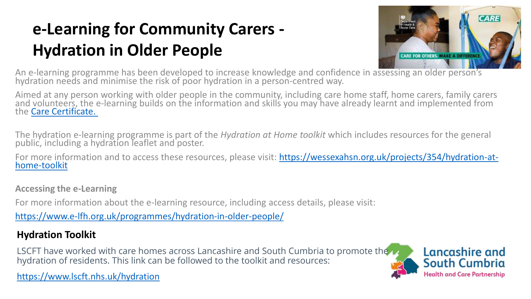#### **e-Learning for Community Carers - Hydration in Older People**



An e-learning programme has been developed to increase knowledge and confidence in assessing an older person's hydration needs and minimise the risk of poor hydration in a person-centred way.

Aimed at any person working with older people in the community, including care home staff, home carers, family carers and volunteers, the e-learning builds on the information and skills you may have already learnt and implemented from the [Care Certificate.](https://www.skillsforcare.org.uk/Developing-your-workforce/Care-Certificate/Care-Certificate.aspx)

The hydration e-learning programme is part of the *Hydration at Home toolkit* which includes resources for the general public, including a hydration leaflet and poster.

For more information and to access these resources, please visit: [https://wessexahsn.org.uk/projects/354/hydration-at](https://gbr01.safelinks.protection.outlook.com/?url=https%3A%2F%2Fwessexahsn.org.uk%2Fprojects%2F354%2Fhydration-at-home-toolkit&data=01%7C01%7Ccheryl.davies%40wessexahsn.net%7C08c127ba6c6744ceed7608d85e021325%7C83777d80488347de82e432532846a82d%7C0&sdata=u68h9CToxZcG%2BW2jF72qtOCyV51NeZXuWp%2FKiayrUlE%3D&reserved=0)home-toolkit

**Accessing the e-Learning**

For more information about the e-learning resource, including access details, please visit:

<https://www.e-lfh.org.uk/programmes/hydration-in-older-people/>

#### **Hydration Toolkit**

LSCFT have worked with care homes across Lancashire and South Cumbria to promote the hydration of residents. This link can be followed to the toolkit and resources:



<https://www.lscft.nhs.uk/hydration>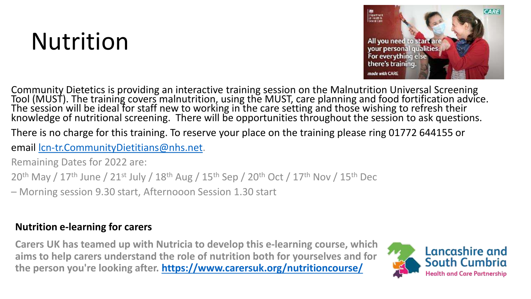### Nutrition



Community Dietetics is providing an interactive training session on the Malnutrition Universal Screening Tool (MUST). The training covers malnutrition, using the MUST, care planning and food fortification advice. The session will be ideal for staff new to working in the care setting and those wishing to refresh their knowledge of nutritional screening. There will be opportunities throughout the session to ask questions.

There is no charge for this training. To reserve your place on the training please ring 01772 644155 or

email [lcn-tr.CommunityDietitians@nhs.net.](mailto:lcn-tr.CommunityDietitians@nhs.net)

Remaining Dates for 2022 are:

20<sup>th</sup> May / 17<sup>th</sup> June / 21<sup>st</sup> July / 18<sup>th</sup> Aug / 15<sup>th</sup> Sep / 20<sup>th</sup> Oct / 17<sup>th</sup> Nov / 15<sup>th</sup> Dec

– Morning session 9.30 start, Afternooon Session 1.30 start

#### **Nutrition e-learning for carers**

**Carers UK has teamed up with Nutricia to develop this e-learning course, which aims to help carers understand the role of nutrition both for yourselves and for the person you're looking after. <https://www.carersuk.org/nutritioncourse/>**

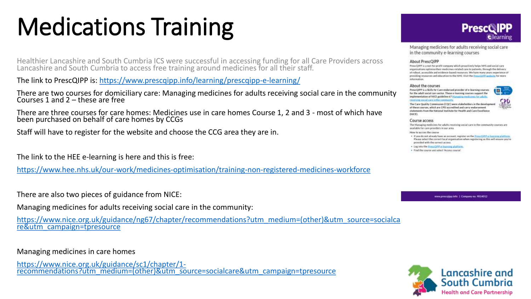## Medications Training

Healthier Lancashire and South Cumbria ICS were successful in accessing funding for all Care Providers across Lancashire and South Cumbria to access free training around medicines for all their staff.

The link to PrescQIPP is: <https://www.prescqipp.info/learning/prescqipp-e-learning/>

There are two courses for domiciliary care: Managing medicines for adults receiving social care in the community Courses 1 and 2 – these are free

There are three courses for care homes: Medicines use in care homes Course 1, 2 and 3 - most of which have been purchased on behalf of care homes by CCGs

Staff will have to register for the website and choose the CCG area they are in.

The link to the HEE e-learning is here and this is free:

<https://www.hee.nhs.uk/our-work/medicines-optimisation/training-non-registered-medicines-workforce>

There are also two pieces of guidance from NICE:

Managing medicines for adults receiving social care in the community:

[https://www.nice.org.uk/guidance/ng67/chapter/recommendations?utm\\_medium=\(other\)&utm\\_source=socialca](https://www.nice.org.uk/guidance/ng67/chapter/recommendations?utm_medium=(other)&utm_source=socialcare&utm_campaign=tpresource) re&utm\_campaign=tpresource

#### Managing medicines in care homes

https://www.nice.org.uk/guidance/sc1/chapter/1 [recommendations?utm\\_medium=\(other\)&utm\\_source=socialcare&utm\\_campaign=tpresource](https://www.nice.org.uk/guidance/sc1/chapter/1-recommendations?utm_medium=(other)&utm_source=socialcare&utm_campaign=tpresource)



**B** 

Managing medicines for adults receiving social care in the community e-learning courses

#### About PrescOIPP

PrescQIPP is a not-for-profit company which proactively helps NHS and social care pregnisations entimize their medicines related care to patients. through the delivery of rebest, accessible and evidence-based resources. We have many years experience of providing respurses and education to the NHS. Visit the Presiding websitintermation

#### About the courses

PrescQIPP is a Skills for Care endorsed provider of e-learning courses for the adult social care sector. These e-learning courses support the replementation of NICE guideline 67 Manualne medicines for adults scening social care in the

The Care Quality Commission (CQC) were stakeholders in the development. of these courses, which are CPD accredited and carry endorsement statements from the National Institute for Health and Care Excellence **DUCE** 

#### Course access

The Managing medicines for adults receiving social care in the community courses are available for care providers in our area.

#### How to access the course.

- . If you do not already have an account, register on the PressQIPP + InscriminateDate Please select the correct local organisation when registering as this will ensure you're provided with the correct access.
- · Log into the Prescript P e-learning platform
- · Find the course and select 'Access course'.

www.prescripp.info | Company no. 9854012

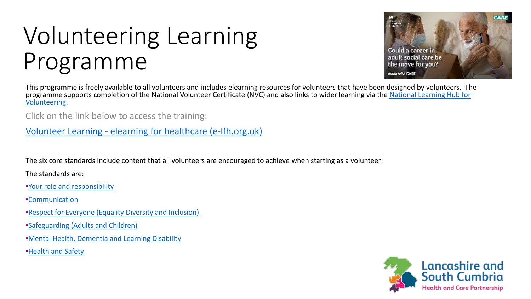### Volunteering Learning Programme

This programme is freely available to all volunteers and includes elearning resources for volunteers that have been designed by volunteers. The [programme supports completion of the National Volunteer Certificate \(NVC\) and also links to wider learning via the](https://volunteerlearning.community/) National Learning Hub for Volunteering.

Click on the link below to access the training:

Volunteer Learning - elearning [for healthcare \(e-lfh.org.uk\)](https://www.e-lfh.org.uk/programmes/volunteer-learning/)

The six core standards include content that all volunteers are encouraged to achieve when starting as a volunteer:

The standards are:

•[Your role and responsibility](https://www.e-lfh.org.uk/wp-content/uploads/2021/04/NVC-Standard-1.pdf)

•[Communication](https://www.e-lfh.org.uk/wp-content/uploads/2021/04/NVC-Standard-2.pdf)

- •[Respect for Everyone \(Equality Diversity and Inclusion\)](https://www.e-lfh.org.uk/wp-content/uploads/2021/04/NVC-Standard-3.pdf)
- •[Safeguarding \(Adults and Children\)](https://www.e-lfh.org.uk/wp-content/uploads/2021/04/NVC-Standard-4.pdf)
- •[Mental Health, Dementia and Learning Disability](https://www.e-lfh.org.uk/wp-content/uploads/2021/04/NVC-Standard-5.pdf)
- •[Health and Safety](https://www.e-lfh.org.uk/wp-content/uploads/2021/04/NVC-Standard-6.pdf)



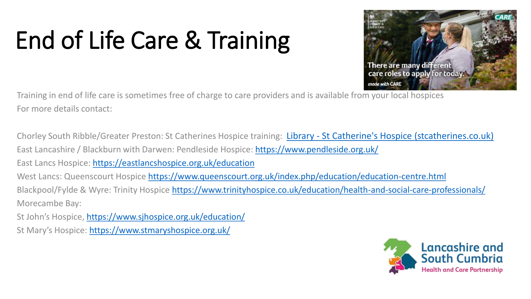# End of Life Care & Training



Training in end of life care is sometimes free of charge to care providers and is available from your local hospices For more details contact:

Chorley South Ribble/Greater Preston: St Catherines Hospice training: Library - [St Catherine's Hospice \(stcatherines.co.uk\)](https://www.stcatherines.co.uk/library/?resource_category=34) East Lancashire / Blackburn with Darwen: Pendleside Hospice:<https://www.pendleside.org.uk/> East Lancs Hospice: <https://eastlancshospice.org.uk/education> West Lancs: Queenscourt Hospice<https://www.queenscourt.org.uk/index.php/education/education-centre.html> Blackpool/Fylde & Wyre: Trinity Hospice <https://www.trinityhospice.co.uk/education/health-and-social-care-professionals/> Morecambe Bay:

St John's Hospice, <https://www.sjhospice.org.uk/education/>

St Mary's Hospice: <https://www.stmaryshospice.org.uk/>

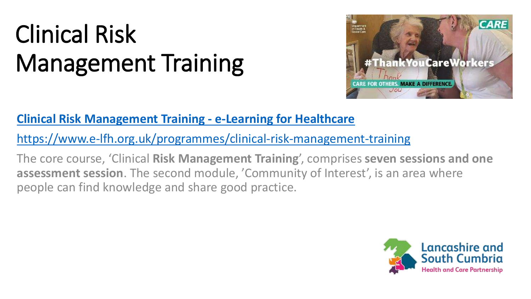## Clinical Risk Management Training



#### **[Clinical Risk Management Training -](https://www.e-lfh.org.uk/programmes/clinical-risk-management-training/) e-Learning for Healthcare**

<https://www.e-lfh.org.uk/programmes/clinical-risk-management-training>

The core course, 'Clinical **Risk Management Training**', comprises **seven sessions and one assessment session**. The second module, 'Community of Interest', is an area where people can find knowledge and share good practice.

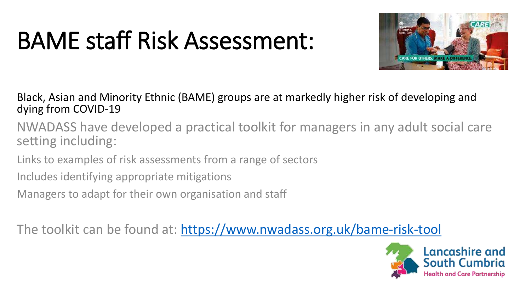### BAME staff Risk Assessment:



Black, Asian and Minority Ethnic (BAME) groups are at markedly higher risk of developing and dying from COVID-19

NWADASS have developed a practical toolkit for managers in any adult social care setting including:

Links to examples of risk assessments from a range of sectors

Includes identifying appropriate mitigations

Managers to adapt for their own organisation and staff

The toolkit can be found at: <https://www.nwadass.org.uk/bame-risk-tool>

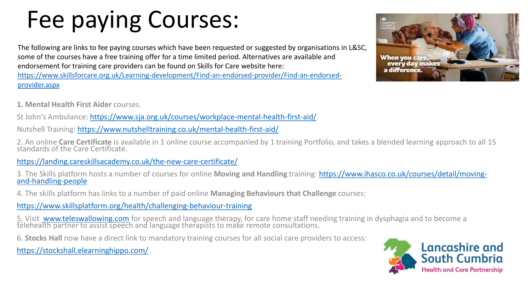## Fee paying Courses:

The following are links to fee paying courses which have been requested or suggested by organisations in L&SC, some of the courses have a free training offer for a time limited period. Alternatives are available and endorsement for training care providers can be found on Skills for Care website here: [https://www.skillsforcare.org.uk/Learning-development/Find-an-endorsed-provider/Find-an-endorsed](https://www.skillsforcare.org.uk/Learning-development/Find-an-endorsed-provider/Find-an-endorsed-provider.aspx)provider.aspx

**1. Mental Health First Aider** courses.

St John's Ambulance: <https://www.sja.org.uk/courses/workplace-mental-health-first-aid/>

Nutshell Training:<https://www.nutshelltraining.co.uk/mental-health-first-aid/>

2. An online **Care Certificate** is available in 1 online course accompanied by 1 training Portfolio, and takes a blended learning approach to all 15 standards of the Care Certificate.

<https://landing.careskillsacademy.co.uk/the-new-care-certificate/>

3. The Skills platform hosts a number of courses for online **Moving and Handling** [training: https://www.ihasco.co.uk/courses/detail/moving](https://www.ihasco.co.uk/courses/detail/moving-and-handling-people)and-handling-people

4. The skills platform has links to a number of paid online **Managing Behaviours that Challenge** courses:

<https://www.skillsplatform.org/health/challenging-behaviour-training>

5. Visit [www.teleswallowing.com](http://www.teleswallowing.com/) for speech and language therapy, for care home staff needing training in dysphagia and to become a telehealth partner to assist speech and language therapists to make remote consultations.

6. **Stocks Hall** now have a direct link to mandatory training courses for all social care providers to access:

<https://stockshall.elearninghippo.com/>



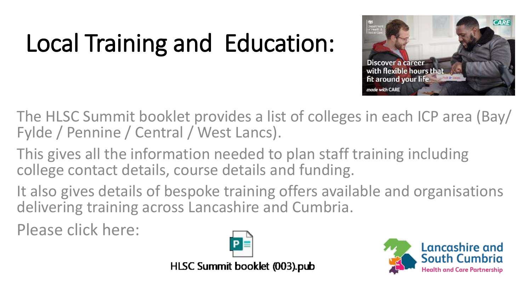# Local Training and Education:



The HLSC Summit booklet provides a list of colleges in each ICP area (Bay/ Fylde / Pennine / Central / West Lancs).

This gives all the information needed to plan staff training including college contact details, course details and funding.

It also gives details of bespoke training offers available and organisations delivering training across Lancashire and Cumbria.

Please click here:



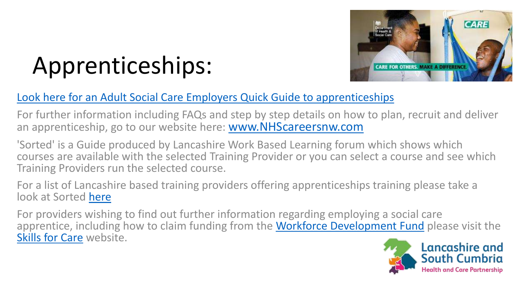

### Apprenticeships:

#### [Look here for an Adult Social Care Employers Quick Guide to apprenticeships](https://www.healthierlsc.co.uk/application/files/6815/7175/3859/Employers_Quick_Guide_2sided.pdf)

For further information including FAQs and step by step details on how to plan, recruit and deliver an apprenticeship, go to our website here: [www.NHScareersnw.com](http://www.nhscareersnw.com/)

'Sorted' is a Guide produced by Lancashire Work Based Learning forum which shows which courses are available with the selected Training Provider or you can select a course and see which Training Providers run the selected course.

For a list of Lancashire based training providers offering apprenticeships training please take a look at Sorted [here](http://www.lancsforum.co.uk/sorted)

For providers wishing to find out further information regarding employing a social care apprentice, including how to claim funding from the [Workforce Development Fund](https://www.skillsforcare.org.uk/Learning-development/Funding/Workforce-Development-Fund/Workforce-Development-Fund.aspx) please visit the [Skills for Care](https://www.skillsforcare.org.uk/Learning-development/Apprenticeships/Apprenticeships.aspx) website.

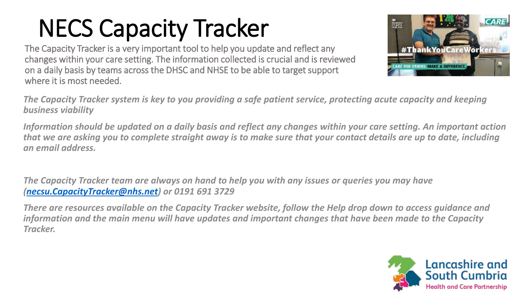## NECS Capacity Tracker

The Capacity Tracker is a very important tool to help you update and reflect any changes within your care setting. The information collected is crucial and is reviewed on a daily basis by teams across the DHSC and NHSE to be able to target support where it is most needed.



*The Capacity Tracker system is key to you providing a safe patient service, protecting acute capacity and keeping business viability*

*Information should be updated on a daily basis and reflect any changes within your care setting. An important action that we are asking you to complete straight away is to make sure that your contact details are up to date, including an email address.*

*The Capacity Tracker team are always on hand to help you with any issues or queries you may have ([necsu.CapacityTracker@nhs.net\)](mailto:necsu.CapacityTracker@nhs.net) or 0191 691 3729*

*There are resources available on the Capacity Tracker website, follow the Help drop down to access guidance and information and the main menu will have updates and important changes that have been made to the Capacity Tracker.*

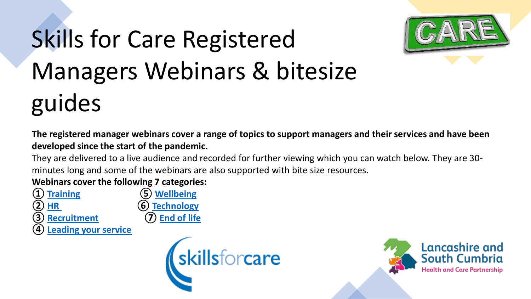# Skills for Care Registered Managers Webinars & bitesize guides



**The registered manager webinars cover a range of topics to support managers and their services and have been developed since the start of the pandemic.**

They are delivered to a live audience and recorded for further viewing which you can watch below. They are 30 minutes long and some of the webinars are also supported with bite size resources.

**Webinars cover the following 7 categories:**

**① [Training](https://www.skillsforcare.org.uk/Leadership-management/support-for-registered-managers/Registered-Manager-webinars.aspx#Training) ⑤ [Wellbeing](https://www.skillsforcare.org.uk/Leadership-management/support-for-registered-managers/Registered-Manager-webinars.aspx#Teamwellbeing)**

- **② [HR](https://www.skillsforcare.org.uk/Leadership-management/support-for-registered-managers/Registered-Manager-webinars.aspx#HR) ⑥ [Technology](https://www.skillsforcare.org.uk/Leadership-management/support-for-registered-managers/Registered-Manager-webinars.aspx#Technology)**
- **③ [Recruitment](https://www.skillsforcare.org.uk/Leadership-management/support-for-registered-managers/Registered-Manager-webinars.aspx#Recruitment) ⑦ [End of life](https://www.skillsforcare.org.uk/Leadership-management/support-for-registered-managers/Registered-Manager-webinars.aspx#Endoflife)**
- **[Leading your service](https://www.skillsforcare.org.uk/Leadership-management/support-for-registered-managers/Registered-Manager-webinars.aspx#Leadingyourservice)**



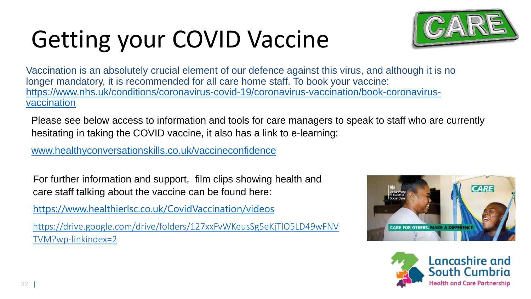# Getting your COVID Vaccine



Vaccination is an absolutely crucial element of our defence against this virus, and although it is no longer mandatory, it is recommended for all care home staff. To book your vaccine: [https://www.nhs.uk/conditions/coronavirus-covid-19/coronavirus-vaccination/book-coronavirus](https://www.nhs.uk/conditions/coronavirus-covid-19/coronavirus-vaccination/book-coronavirus-vaccination)vaccination

Please see below access to information and tools for care managers to speak to staff who are currently hesitating in taking the COVID vaccine, it also has a link to e-learning:

[www.healthyconversationskills.co.uk/vaccineconfidence](http://www.healthyconversationskills.co.uk/vaccineconfidence)

For further information and support, film clips showing health and care staff talking about the vaccine can be found here:

<https://www.healthierlsc.co.uk/CovidVaccination/videos>

[https://drive.google.com/drive/folders/127xxFvWKeusSg5eKjTlO5LD49wFNV](https://drive.google.com/drive/folders/127xxFvWKeusSg5eKjTlO5LD49wFNVTVM?wp-linkindex=2) TVM?wp-linkindex=2